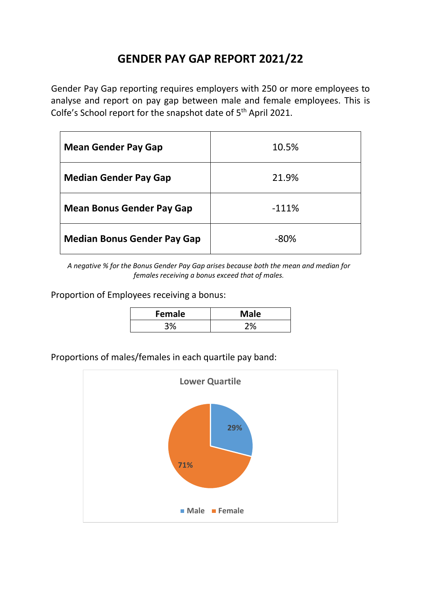## **GENDER PAY GAP REPORT 2021/22**

Gender Pay Gap reporting requires employers with 250 or more employees to analyse and report on pay gap between male and female employees. This is Colfe's School report for the snapshot date of 5<sup>th</sup> April 2021.

| <b>Mean Gender Pay Gap</b>         | 10.5%   |
|------------------------------------|---------|
| <b>Median Gender Pay Gap</b>       | 21.9%   |
| <b>Mean Bonus Gender Pay Gap</b>   | $-111%$ |
| <b>Median Bonus Gender Pay Gap</b> | $-80%$  |

*A negative % for the Bonus Gender Pay Gap arises because both the mean and median for females receiving a bonus exceed that of males.*

Proportion of Employees receiving a bonus:

| Female | <b>Male</b> |
|--------|-------------|
|        |             |

Proportions of males/females in each quartile pay band:

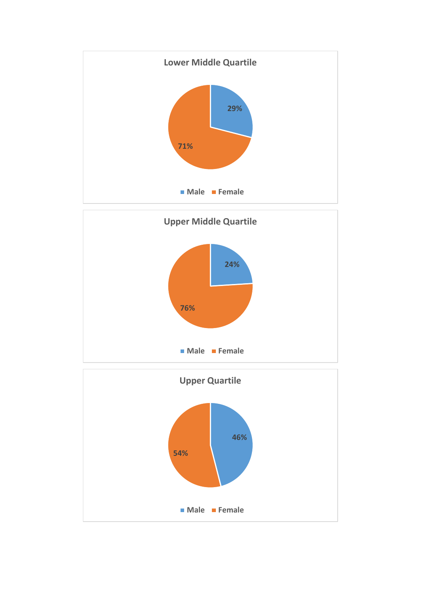